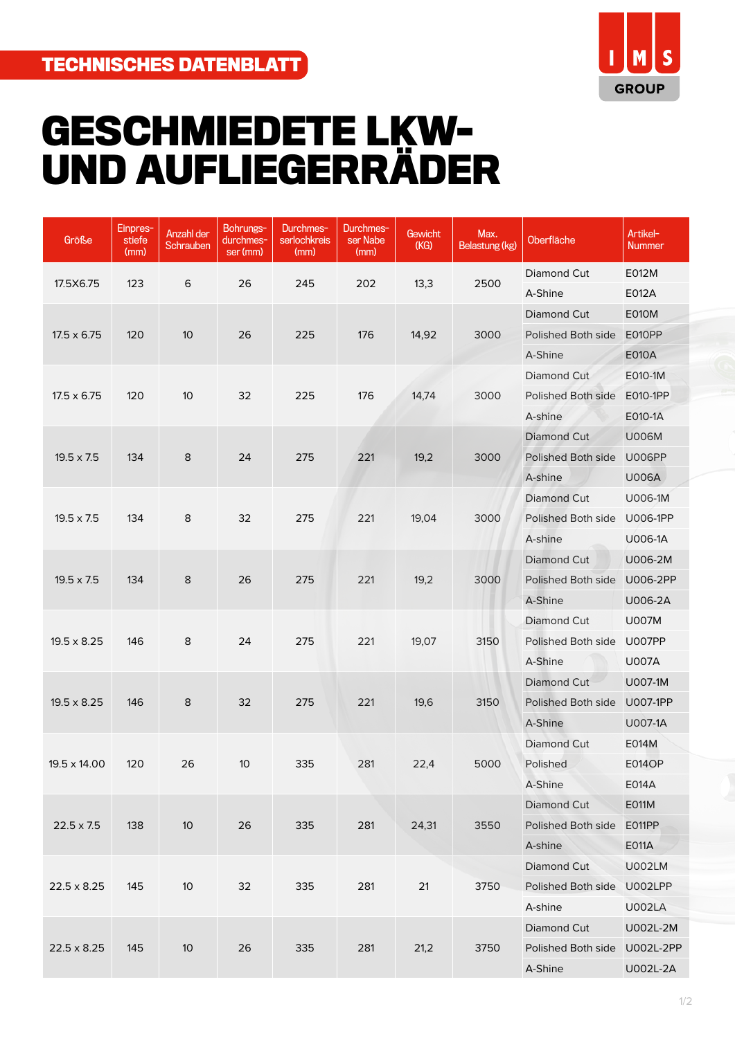

## **GESCHMIEDETE LKW-UND AUFLIEGERRÄDER**

| Größe              | Einpres-<br>stiefe<br>(mm) | Anzahl der<br>Schrauben | Bohrungs-<br>durchmes-<br>ser (mm) | Durchmes-<br>serlochkreis<br>(mm) | Durchmes-<br>ser Nabe<br>(mm) | Gewicht<br>(KG) | Max.<br>Belastung (kg) | Oberfläche                | Artikel-<br>Nummer |
|--------------------|----------------------------|-------------------------|------------------------------------|-----------------------------------|-------------------------------|-----------------|------------------------|---------------------------|--------------------|
|                    |                            |                         |                                    |                                   |                               |                 |                        | Diamond Cut               | E012M              |
| 17.5X6.75          | 123                        | 6                       | 26                                 | 245                               | 202                           | 13,3            | 2500                   | A-Shine                   | E012A              |
|                    |                            |                         |                                    |                                   |                               |                 |                        | Diamond Cut               | <b>E010M</b>       |
| $17.5 \times 6.75$ | 120                        | 10                      | 26                                 | 225                               | 176                           | 14,92           | 3000                   | Polished Both side        | E010PP             |
|                    |                            |                         |                                    |                                   |                               |                 |                        | A-Shine                   | <b>E010A</b>       |
|                    |                            |                         |                                    |                                   |                               |                 |                        | Diamond Cut               | E010-1M            |
| $17.5 \times 6.75$ | 120                        | 10                      | 32                                 | 225                               | 176                           | 14,74           | 3000                   | Polished Both side        | E010-1PP           |
|                    |                            |                         |                                    |                                   |                               |                 |                        | A-shine                   | E010-1A            |
|                    |                            |                         |                                    |                                   |                               |                 |                        | Diamond Cut               | <b>U006M</b>       |
| $19.5 \times 7.5$  | 134                        | 8                       | 24                                 | 275                               | 221                           | 19,2            | 3000                   | Polished Both side        | <b>U006PP</b>      |
|                    |                            |                         |                                    |                                   |                               |                 |                        | A-shine                   | U006A              |
|                    |                            |                         |                                    |                                   |                               |                 |                        | Diamond Cut               | U006-1M            |
| $19.5 \times 7.5$  | 134                        | 8                       | 32                                 | 275                               | 221                           | 19,04           | 3000                   | Polished Both side        | <b>U006-1PP</b>    |
|                    |                            |                         |                                    |                                   |                               |                 |                        | A-shine                   | U006-1A            |
|                    |                            |                         |                                    |                                   | 221<br>19,2<br>3000           |                 | Diamond Cut            | U006-2M                   |                    |
| $19.5 \times 7.5$  | 134                        | $\bf 8$                 | 26                                 | 275                               |                               |                 |                        | Polished Both side        | U006-2PP           |
|                    |                            |                         |                                    |                                   |                               |                 |                        | A-Shine                   | U006-2A            |
|                    |                            | 8                       | 24                                 | 275                               | 221                           | 19,07           | 3150                   | <b>Diamond Cut</b>        | <b>U007M</b>       |
| $19.5 \times 8.25$ | 146                        |                         |                                    |                                   |                               |                 |                        | Polished Both side        | <b>U007PP</b>      |
|                    |                            |                         |                                    |                                   |                               |                 |                        | A-Shine                   | <b>U007A</b>       |
|                    |                            |                         |                                    |                                   |                               |                 |                        | Diamond Cut               | U007-1M            |
| $19.5 \times 8.25$ | 146                        | 8                       | 32                                 | 275                               | 221                           | 19,6            | 3150                   | Polished Both side        | U007-1PP           |
|                    |                            |                         |                                    |                                   |                               |                 |                        | A-Shine                   | U007-1A            |
|                    |                            |                         |                                    |                                   |                               |                 |                        | Diamond Cut               | E014M              |
| 19.5 x 14.00       | 120                        | 26                      | 10                                 | 335                               | 281                           | 22,4            | 5000                   | Polished                  | <b>E014OP</b>      |
|                    |                            |                         |                                    |                                   |                               |                 |                        | A-Shine                   | E014A              |
|                    |                            | 10 <sup>°</sup>         | 26                                 | 335                               | 281                           | 24,31           | 3550                   | Diamond Cut               | E011M              |
| $22.5 \times 7.5$  | 138                        |                         |                                    |                                   |                               |                 |                        | Polished Both side E011PP |                    |
|                    |                            |                         |                                    |                                   |                               |                 |                        | A-shine                   | E011A              |
|                    | 145                        | 10                      | 32                                 | 335                               | 281                           | 21              | 3750                   | Diamond Cut               | <b>U002LM</b>      |
| $22.5 \times 8.25$ |                            |                         |                                    |                                   |                               |                 |                        | Polished Both side        | U002LPP            |
|                    |                            |                         |                                    |                                   |                               |                 |                        | A-shine                   | <b>U002LA</b>      |
|                    | 145                        | $10$                    | 26                                 | 335                               | 281                           | 21,2            | 3750                   | Diamond Cut               | U002L-2M           |
| $22.5 \times 8.25$ |                            |                         |                                    |                                   |                               |                 |                        | Polished Both side        | U002L-2PP          |
|                    |                            |                         |                                    |                                   |                               |                 |                        | A-Shine                   | U002L-2A           |